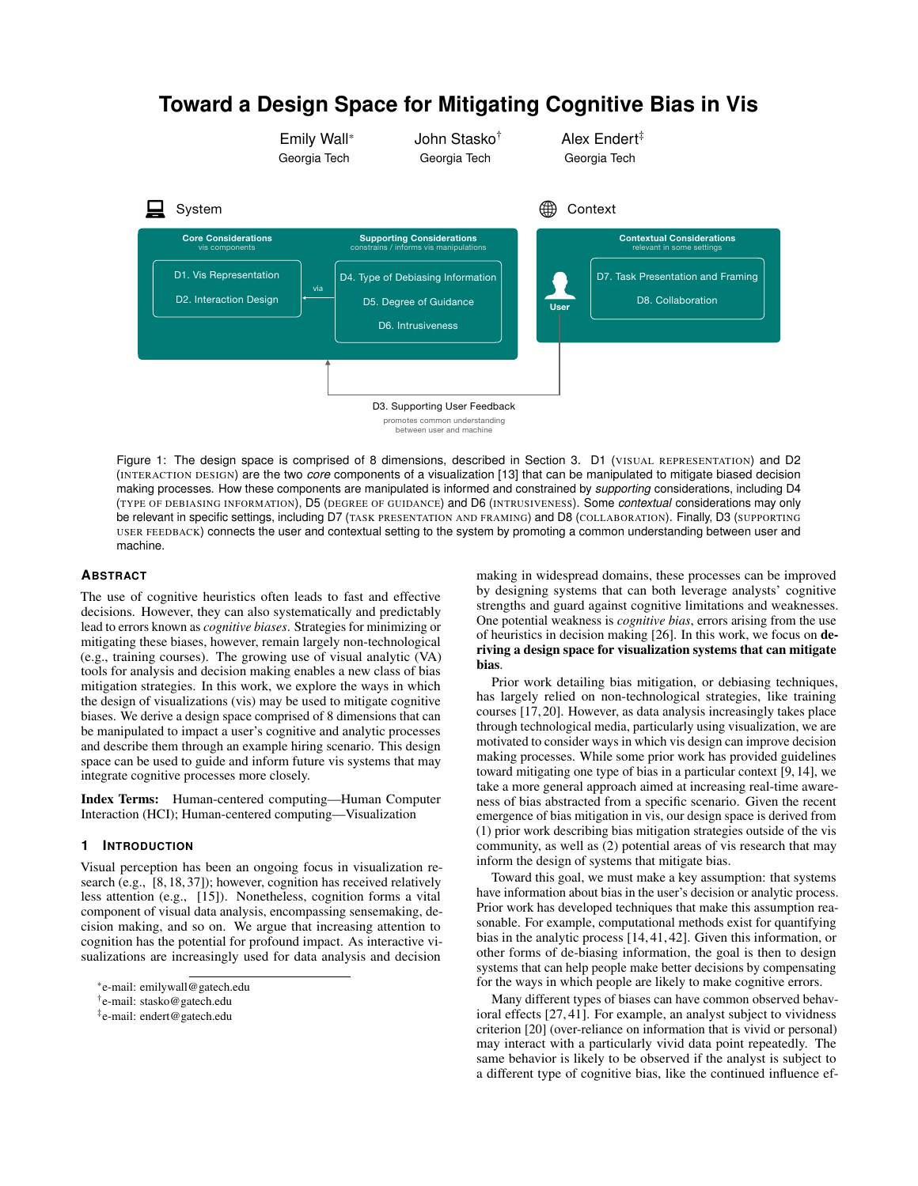# **Toward a Design Space for Mitigating Cognitive Bias in Vis** Emily Wall\* Georgia Tech John Stasko† Georgia Tech Alex Endert‡ Georgia Tech  $\Box$  System  $\oplus$  Context D1. Vis Representation D2. Interaction Design D7. Task Presentation and Framing D8. Collaboration D4. Type of Debiasing Information D5. Degree of Guidance D6. Intrusiveness D3. Supporting User Feedback via **User Core Considerations Supporting Considerations Contextual Considerations** promotes common understanding between user and machine vis components constrains / informs vis manipulations relevant in some settings

<span id="page-0-0"></span>Figure 1: The design space is comprised of 8 dimensions, described in Section [3.](#page-1-0) D1 (VISUAL REPRESENTATION) and D2 (INTERACTION DESIGN) are the two *core* components of a visualization [\[13\]](#page-4-0) that can be manipulated to mitigate biased decision making processes. How these components are manipulated is informed and constrained by *supporting* considerations, including D4 (TYPE OF DEBIASING INFORMATION), D5 (DEGREE OF GUIDANCE) and D6 (INTRUSIVENESS). Some *contextual* considerations may only be relevant in specific settings, including D7 (TASK PRESENTATION AND FRAMING) and D8 (COLLABORATION). Finally, D3 (SUPPORTING USER FEEDBACK) connects the user and contextual setting to the system by promoting a common understanding between user and machine.

### **ABSTRACT**

The use of cognitive heuristics often leads to fast and effective decisions. However, they can also systematically and predictably lead to errors known as *cognitive biases*. Strategies for minimizing or mitigating these biases, however, remain largely non-technological (e.g., training courses). The growing use of visual analytic (VA) tools for analysis and decision making enables a new class of bias mitigation strategies. In this work, we explore the ways in which the design of visualizations (vis) may be used to mitigate cognitive biases. We derive a design space comprised of 8 dimensions that can be manipulated to impact a user's cognitive and analytic processes and describe them through an example hiring scenario. This design space can be used to guide and inform future vis systems that may integrate cognitive processes more closely.

Index Terms: Human-centered computing—Human Computer Interaction (HCI); Human-centered computing—Visualization

#### **1 INTRODUCTION**

Visual perception has been an ongoing focus in visualization research (e.g., [\[8,](#page-4-1) [18,](#page-4-2) [37\]](#page-4-3)); however, cognition has received relatively less attention (e.g., [\[15\]](#page-4-4)). Nonetheless, cognition forms a vital component of visual data analysis, encompassing sensemaking, decision making, and so on. We argue that increasing attention to cognition has the potential for profound impact. As interactive visualizations are increasingly used for data analysis and decision

making in widespread domains, these processes can be improved by designing systems that can both leverage analysts' cognitive strengths and guard against cognitive limitations and weaknesses. One potential weakness is *cognitive bias*, errors arising from the use of heuristics in decision making [\[26\]](#page-4-5). In this work, we focus on deriving a design space for visualization systems that can mitigate bias.

Prior work detailing bias mitigation, or debiasing techniques, has largely relied on non-technological strategies, like training courses [\[17,](#page-4-6) [20\]](#page-4-7). However, as data analysis increasingly takes place through technological media, particularly using visualization, we are motivated to consider ways in which vis design can improve decision making processes. While some prior work has provided guidelines toward mitigating one type of bias in a particular context [\[9,](#page-4-8) [14\]](#page-4-9), we take a more general approach aimed at increasing real-time awareness of bias abstracted from a specific scenario. Given the recent emergence of bias mitigation in vis, our design space is derived from (1) prior work describing bias mitigation strategies outside of the vis community, as well as (2) potential areas of vis research that may inform the design of systems that mitigate bias.

Toward this goal, we must make a key assumption: that systems have information about bias in the user's decision or analytic process. Prior work has developed techniques that make this assumption reasonable. For example, computational methods exist for quantifying bias in the analytic process [\[14,](#page-4-9) [41,](#page-4-10) [42\]](#page-4-11). Given this information, or other forms of de-biasing information, the goal is then to design systems that can help people make better decisions by compensating for the ways in which people are likely to make cognitive errors.

Many different types of biases can have common observed behavioral effects [\[27,](#page-4-12) [41\]](#page-4-10). For example, an analyst subject to vividness criterion [\[20\]](#page-4-7) (over-reliance on information that is vivid or personal) may interact with a particularly vivid data point repeatedly. The same behavior is likely to be observed if the analyst is subject to a different type of cognitive bias, like the continued influence ef-

<sup>\*</sup>e-mail: emilywall@gatech.edu

<sup>†</sup> e-mail: stasko@gatech.edu

<sup>‡</sup> e-mail: endert@gatech.edu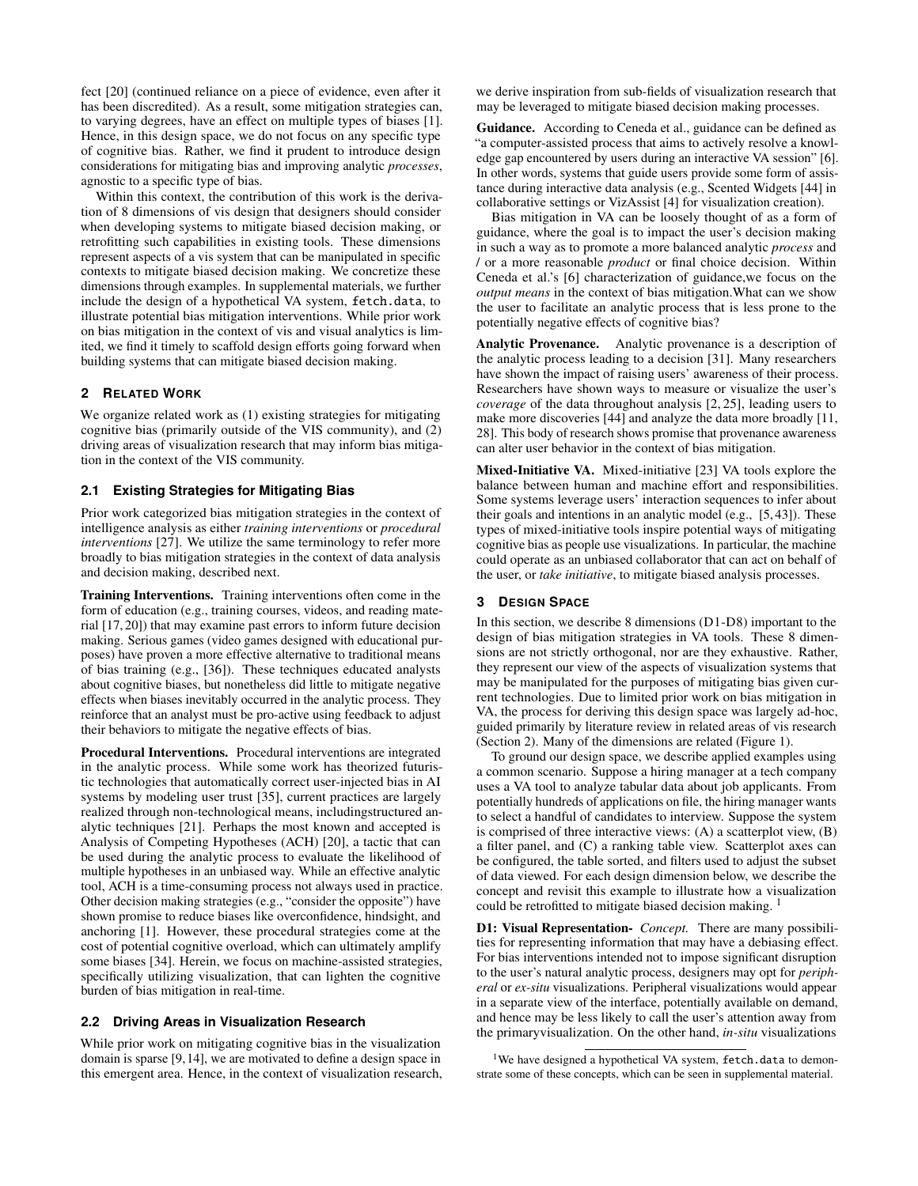fect [\[20\]](#page-4-7) (continued reliance on a piece of evidence, even after it has been discredited). As a result, some mitigation strategies can, to varying degrees, have an effect on multiple types of biases [\[1\]](#page-4-13). Hence, in this design space, we do not focus on any specific type of cognitive bias. Rather, we find it prudent to introduce design considerations for mitigating bias and improving analytic *processes*, agnostic to a specific type of bias.

Within this context, the contribution of this work is the derivation of 8 dimensions of vis design that designers should consider when developing systems to mitigate biased decision making, or retrofitting such capabilities in existing tools. These dimensions represent aspects of a vis system that can be manipulated in specific contexts to mitigate biased decision making. We concretize these dimensions through examples. In supplemental materials, we further include the design of a hypothetical VA system, fetch.data, to illustrate potential bias mitigation interventions. While prior work on bias mitigation in the context of vis and visual analytics is limited, we find it timely to scaffold design efforts going forward when building systems that can mitigate biased decision making.

# <span id="page-1-1"></span>**2 RELATED WORK**

We organize related work as (1) existing strategies for mitigating cognitive bias (primarily outside of the VIS community), and (2) driving areas of visualization research that may inform bias mitigation in the context of the VIS community.

### **2.1 Existing Strategies for Mitigating Bias**

Prior work categorized bias mitigation strategies in the context of intelligence analysis as either *training interventions* or *procedural interventions* [\[27\]](#page-4-12). We utilize the same terminology to refer more broadly to bias mitigation strategies in the context of data analysis and decision making, described next.

Training Interventions. Training interventions often come in the form of education (e.g., training courses, videos, and reading material [\[17,](#page-4-6) [20\]](#page-4-7)) that may examine past errors to inform future decision making. Serious games (video games designed with educational purposes) have proven a more effective alternative to traditional means of bias training (e.g., [\[36\]](#page-4-14)). These techniques educated analysts about cognitive biases, but nonetheless did little to mitigate negative effects when biases inevitably occurred in the analytic process. They reinforce that an analyst must be pro-active using feedback to adjust their behaviors to mitigate the negative effects of bias.

Procedural Interventions. Procedural interventions are integrated in the analytic process. While some work has theorized futuristic technologies that automatically correct user-injected bias in AI systems by modeling user trust [\[35\]](#page-4-15), current practices are largely realized through non-technological means, includingstructured analytic techniques [\[21\]](#page-4-16). Perhaps the most known and accepted is Analysis of Competing Hypotheses (ACH) [\[20\]](#page-4-7), a tactic that can be used during the analytic process to evaluate the likelihood of multiple hypotheses in an unbiased way. While an effective analytic tool, ACH is a time-consuming process not always used in practice. Other decision making strategies (e.g., "consider the opposite") have shown promise to reduce biases like overconfidence, hindsight, and anchoring [\[1\]](#page-4-13). However, these procedural strategies come at the cost of potential cognitive overload, which can ultimately amplify some biases [\[34\]](#page-4-17). Herein, we focus on machine-assisted strategies, specifically utilizing visualization, that can lighten the cognitive burden of bias mitigation in real-time.

### **2.2 Driving Areas in Visualization Research**

While prior work on mitigating cognitive bias in the visualization domain is sparse [\[9,](#page-4-8)[14\]](#page-4-9), we are motivated to define a design space in this emergent area. Hence, in the context of visualization research, we derive inspiration from sub-fields of visualization research that may be leveraged to mitigate biased decision making processes.

Guidance. According to Ceneda et al., guidance can be defined as "a computer-assisted process that aims to actively resolve a knowledge gap encountered by users during an interactive VA session" [\[6\]](#page-4-18). In other words, systems that guide users provide some form of assistance during interactive data analysis (e.g., Scented Widgets [\[44\]](#page-4-19) in collaborative settings or VizAssist [\[4\]](#page-4-20) for visualization creation).

Bias mitigation in VA can be loosely thought of as a form of guidance, where the goal is to impact the user's decision making in such a way as to promote a more balanced analytic *process* and / or a more reasonable *product* or final choice decision. Within Ceneda et al.'s [\[6\]](#page-4-18) characterization of guidance,we focus on the *output means* in the context of bias mitigation.What can we show the user to facilitate an analytic process that is less prone to the potentially negative effects of cognitive bias?

Analytic Provenance. Analytic provenance is a description of the analytic process leading to a decision [\[31\]](#page-4-21). Many researchers have shown the impact of raising users' awareness of their process. Researchers have shown ways to measure or visualize the user's *coverage* of the data throughout analysis [\[2,](#page-4-22) [25\]](#page-4-23), leading users to make more discoveries [\[44\]](#page-4-19) and analyze the data more broadly [\[11,](#page-4-24) [28\]](#page-4-25). This body of research shows promise that provenance awareness can alter user behavior in the context of bias mitigation.

Mixed-Initiative VA. Mixed-initiative [\[23\]](#page-4-26) VA tools explore the balance between human and machine effort and responsibilities. Some systems leverage users' interaction sequences to infer about their goals and intentions in an analytic model (e.g., [\[5,](#page-4-27) [43\]](#page-4-28)). These types of mixed-initiative tools inspire potential ways of mitigating cognitive bias as people use visualizations. In particular, the machine could operate as an unbiased collaborator that can act on behalf of the user, or *take initiative*, to mitigate biased analysis processes.

#### <span id="page-1-0"></span>**3 DESIGN SPACE**

In this section, we describe 8 dimensions (D1-D8) important to the design of bias mitigation strategies in VA tools. These 8 dimensions are not strictly orthogonal, nor are they exhaustive. Rather, they represent our view of the aspects of visualization systems that may be manipulated for the purposes of mitigating bias given current technologies. Due to limited prior work on bias mitigation in VA, the process for deriving this design space was largely ad-hoc, guided primarily by literature review in related areas of vis research (Section [2\)](#page-1-1). Many of the dimensions are related (Figure [1\)](#page-0-0).

To ground our design space, we describe applied examples using a common scenario. Suppose a hiring manager at a tech company uses a VA tool to analyze tabular data about job applicants. From potentially hundreds of applications on file, the hiring manager wants to select a handful of candidates to interview. Suppose the system is comprised of three interactive views: (A) a scatterplot view, (B) a filter panel, and (C) a ranking table view. Scatterplot axes can be configured, the table sorted, and filters used to adjust the subset of data viewed. For each design dimension below, we describe the concept and revisit this example to illustrate how a visualization could be retrofitted to mitigate biased decision making.<sup>[1](#page-1-2)</sup>

D1: Visual Representation- *Concept.* There are many possibilities for representing information that may have a debiasing effect. For bias interventions intended not to impose significant disruption to the user's natural analytic process, designers may opt for *peripheral* or *ex-situ* visualizations. Peripheral visualizations would appear in a separate view of the interface, potentially available on demand, and hence may be less likely to call the user's attention away from the primaryvisualization. On the other hand, *in-situ* visualizations

<span id="page-1-2"></span><sup>1</sup>We have designed a hypothetical VA system, fetch.data to demonstrate some of these concepts, which can be seen in supplemental material.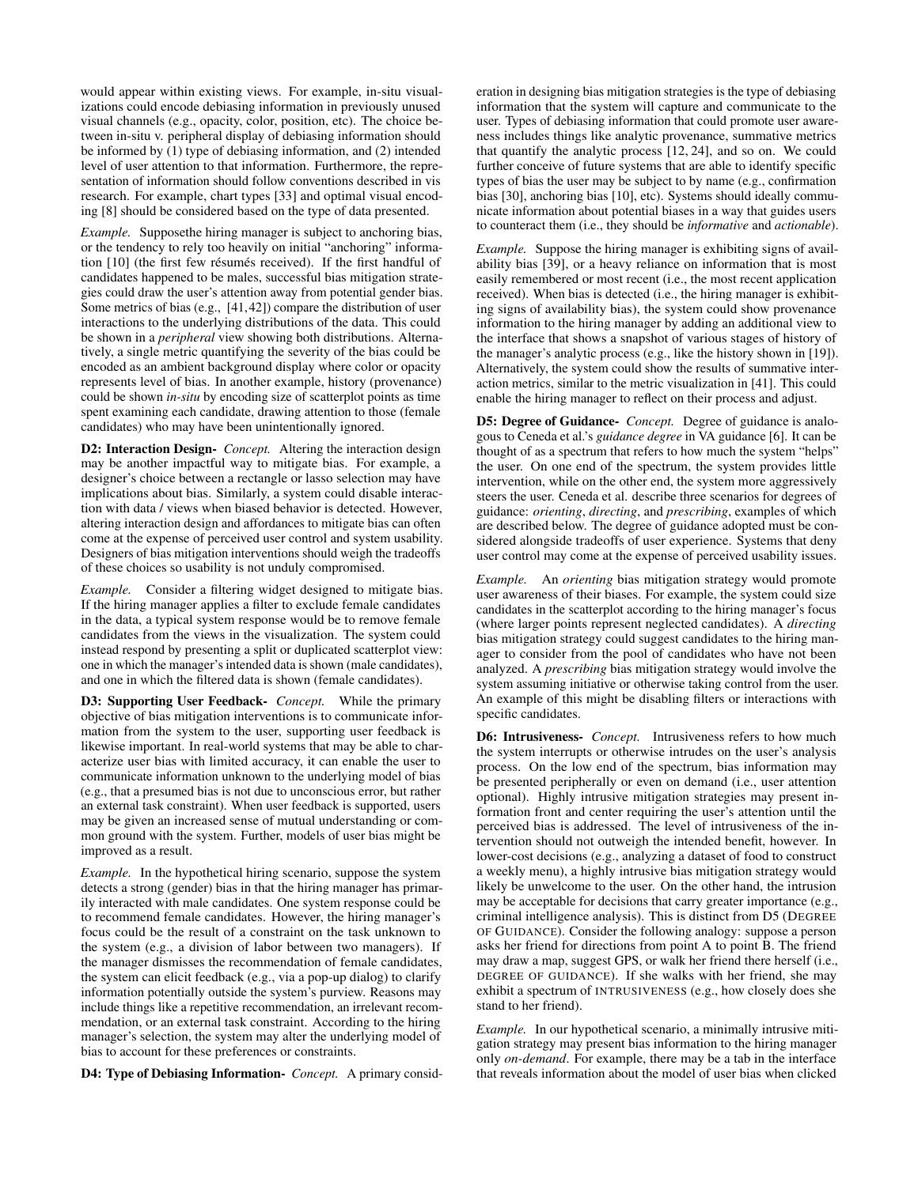would appear within existing views. For example, in-situ visualizations could encode debiasing information in previously unused visual channels (e.g., opacity, color, position, etc). The choice between in-situ v. peripheral display of debiasing information should be informed by (1) type of debiasing information, and (2) intended level of user attention to that information. Furthermore, the representation of information should follow conventions described in vis research. For example, chart types [\[33\]](#page-4-29) and optimal visual encoding [\[8\]](#page-4-1) should be considered based on the type of data presented.

*Example.* Supposethe hiring manager is subject to anchoring bias, or the tendency to rely too heavily on initial "anchoring" informa-tion [\[10\]](#page-4-30) (the first few résumés received). If the first handful of candidates happened to be males, successful bias mitigation strategies could draw the user's attention away from potential gender bias. Some metrics of bias (e.g., [\[41,](#page-4-10)[42\]](#page-4-11)) compare the distribution of user interactions to the underlying distributions of the data. This could be shown in a *peripheral* view showing both distributions. Alternatively, a single metric quantifying the severity of the bias could be encoded as an ambient background display where color or opacity represents level of bias. In another example, history (provenance) could be shown *in-situ* by encoding size of scatterplot points as time spent examining each candidate, drawing attention to those (female candidates) who may have been unintentionally ignored.

D2: Interaction Design- *Concept.* Altering the interaction design may be another impactful way to mitigate bias. For example, a designer's choice between a rectangle or lasso selection may have implications about bias. Similarly, a system could disable interaction with data / views when biased behavior is detected. However, altering interaction design and affordances to mitigate bias can often come at the expense of perceived user control and system usability. Designers of bias mitigation interventions should weigh the tradeoffs of these choices so usability is not unduly compromised.

*Example.* Consider a filtering widget designed to mitigate bias. If the hiring manager applies a filter to exclude female candidates in the data, a typical system response would be to remove female candidates from the views in the visualization. The system could instead respond by presenting a split or duplicated scatterplot view: one in which the manager's intended data is shown (male candidates), and one in which the filtered data is shown (female candidates).

D3: Supporting User Feedback- *Concept.* While the primary objective of bias mitigation interventions is to communicate information from the system to the user, supporting user feedback is likewise important. In real-world systems that may be able to characterize user bias with limited accuracy, it can enable the user to communicate information unknown to the underlying model of bias (e.g., that a presumed bias is not due to unconscious error, but rather an external task constraint). When user feedback is supported, users may be given an increased sense of mutual understanding or common ground with the system. Further, models of user bias might be improved as a result.

*Example.* In the hypothetical hiring scenario, suppose the system detects a strong (gender) bias in that the hiring manager has primarily interacted with male candidates. One system response could be to recommend female candidates. However, the hiring manager's focus could be the result of a constraint on the task unknown to the system (e.g., a division of labor between two managers). If the manager dismisses the recommendation of female candidates, the system can elicit feedback (e.g., via a pop-up dialog) to clarify information potentially outside the system's purview. Reasons may include things like a repetitive recommendation, an irrelevant recommendation, or an external task constraint. According to the hiring manager's selection, the system may alter the underlying model of bias to account for these preferences or constraints.

D4: Type of Debiasing Information- *Concept.* A primary consid-

eration in designing bias mitigation strategies is the type of debiasing information that the system will capture and communicate to the user. Types of debiasing information that could promote user awareness includes things like analytic provenance, summative metrics that quantify the analytic process [\[12,](#page-4-31) [24\]](#page-4-32), and so on. We could further conceive of future systems that are able to identify specific types of bias the user may be subject to by name (e.g., confirmation bias [\[30\]](#page-4-33), anchoring bias [\[10\]](#page-4-30), etc). Systems should ideally communicate information about potential biases in a way that guides users to counteract them (i.e., they should be *informative* and *actionable*).

*Example.* Suppose the hiring manager is exhibiting signs of availability bias [\[39\]](#page-4-34), or a heavy reliance on information that is most easily remembered or most recent (i.e., the most recent application received). When bias is detected (i.e., the hiring manager is exhibiting signs of availability bias), the system could show provenance information to the hiring manager by adding an additional view to the interface that shows a snapshot of various stages of history of the manager's analytic process (e.g., like the history shown in [\[19\]](#page-4-35)). Alternatively, the system could show the results of summative interaction metrics, similar to the metric visualization in [\[41\]](#page-4-10). This could enable the hiring manager to reflect on their process and adjust.

D5: Degree of Guidance- *Concept.* Degree of guidance is analogous to Ceneda et al.'s *guidance degree* in VA guidance [\[6\]](#page-4-18). It can be thought of as a spectrum that refers to how much the system "helps" the user. On one end of the spectrum, the system provides little intervention, while on the other end, the system more aggressively steers the user. Ceneda et al. describe three scenarios for degrees of guidance: *orienting*, *directing*, and *prescribing*, examples of which are described below. The degree of guidance adopted must be considered alongside tradeoffs of user experience. Systems that deny user control may come at the expense of perceived usability issues.

*Example.* An *orienting* bias mitigation strategy would promote user awareness of their biases. For example, the system could size candidates in the scatterplot according to the hiring manager's focus (where larger points represent neglected candidates). A *directing* bias mitigation strategy could suggest candidates to the hiring manager to consider from the pool of candidates who have not been analyzed. A *prescribing* bias mitigation strategy would involve the system assuming initiative or otherwise taking control from the user. An example of this might be disabling filters or interactions with specific candidates.

D6: Intrusiveness- *Concept.* Intrusiveness refers to how much the system interrupts or otherwise intrudes on the user's analysis process. On the low end of the spectrum, bias information may be presented peripherally or even on demand (i.e., user attention optional). Highly intrusive mitigation strategies may present information front and center requiring the user's attention until the perceived bias is addressed. The level of intrusiveness of the intervention should not outweigh the intended benefit, however. In lower-cost decisions (e.g., analyzing a dataset of food to construct a weekly menu), a highly intrusive bias mitigation strategy would likely be unwelcome to the user. On the other hand, the intrusion may be acceptable for decisions that carry greater importance (e.g., criminal intelligence analysis). This is distinct from D5 (DEGREE OF GUIDANCE). Consider the following analogy: suppose a person asks her friend for directions from point A to point B. The friend may draw a map, suggest GPS, or walk her friend there herself (i.e., DEGREE OF GUIDANCE). If she walks with her friend, she may exhibit a spectrum of INTRUSIVENESS (e.g., how closely does she stand to her friend).

*Example.* In our hypothetical scenario, a minimally intrusive mitigation strategy may present bias information to the hiring manager only *on-demand*. For example, there may be a tab in the interface that reveals information about the model of user bias when clicked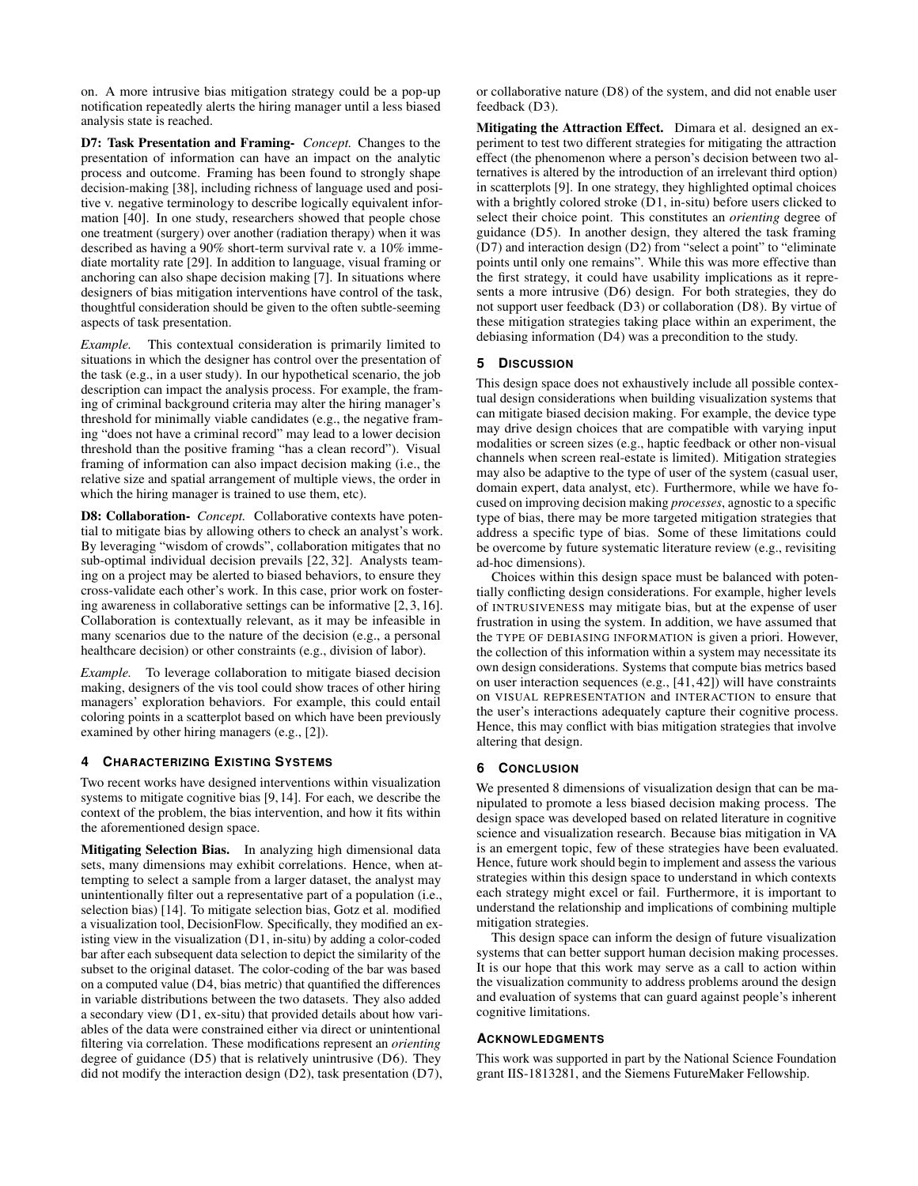on. A more intrusive bias mitigation strategy could be a pop-up notification repeatedly alerts the hiring manager until a less biased analysis state is reached.

D7: Task Presentation and Framing- *Concept.* Changes to the presentation of information can have an impact on the analytic process and outcome. Framing has been found to strongly shape decision-making [\[38\]](#page-4-36), including richness of language used and positive v. negative terminology to describe logically equivalent information [\[40\]](#page-4-37). In one study, researchers showed that people chose one treatment (surgery) over another (radiation therapy) when it was described as having a 90% short-term survival rate v. a 10% immediate mortality rate [\[29\]](#page-4-38). In addition to language, visual framing or anchoring can also shape decision making [\[7\]](#page-4-39). In situations where designers of bias mitigation interventions have control of the task, thoughtful consideration should be given to the often subtle-seeming aspects of task presentation.

*Example.* This contextual consideration is primarily limited to situations in which the designer has control over the presentation of the task (e.g., in a user study). In our hypothetical scenario, the job description can impact the analysis process. For example, the framing of criminal background criteria may alter the hiring manager's threshold for minimally viable candidates (e.g., the negative framing "does not have a criminal record" may lead to a lower decision threshold than the positive framing "has a clean record"). Visual framing of information can also impact decision making (i.e., the relative size and spatial arrangement of multiple views, the order in which the hiring manager is trained to use them, etc).

D8: Collaboration- *Concept.* Collaborative contexts have potential to mitigate bias by allowing others to check an analyst's work. By leveraging "wisdom of crowds", collaboration mitigates that no sub-optimal individual decision prevails [\[22,](#page-4-40) [32\]](#page-4-41). Analysts teaming on a project may be alerted to biased behaviors, to ensure they cross-validate each other's work. In this case, prior work on fostering awareness in collaborative settings can be informative [\[2,](#page-4-22) [3,](#page-4-42) [16\]](#page-4-43). Collaboration is contextually relevant, as it may be infeasible in many scenarios due to the nature of the decision (e.g., a personal healthcare decision) or other constraints (e.g., division of labor).

*Example.* To leverage collaboration to mitigate biased decision making, designers of the vis tool could show traces of other hiring managers' exploration behaviors. For example, this could entail coloring points in a scatterplot based on which have been previously examined by other hiring managers (e.g., [\[2\]](#page-4-22)).

## **4 CHARACTERIZING EXISTING SYSTEMS**

Two recent works have designed interventions within visualization systems to mitigate cognitive bias [\[9,](#page-4-8) [14\]](#page-4-9). For each, we describe the context of the problem, the bias intervention, and how it fits within the aforementioned design space.

Mitigating Selection Bias. In analyzing high dimensional data sets, many dimensions may exhibit correlations. Hence, when attempting to select a sample from a larger dataset, the analyst may unintentionally filter out a representative part of a population (i.e., selection bias) [\[14\]](#page-4-9). To mitigate selection bias, Gotz et al. modified a visualization tool, DecisionFlow. Specifically, they modified an existing view in the visualization (D1, in-situ) by adding a color-coded bar after each subsequent data selection to depict the similarity of the subset to the original dataset. The color-coding of the bar was based on a computed value (D4, bias metric) that quantified the differences in variable distributions between the two datasets. They also added a secondary view (D1, ex-situ) that provided details about how variables of the data were constrained either via direct or unintentional filtering via correlation. These modifications represent an *orienting* degree of guidance (D5) that is relatively unintrusive (D6). They did not modify the interaction design (D2), task presentation (D7), or collaborative nature (D8) of the system, and did not enable user feedback (D3).

Mitigating the Attraction Effect. Dimara et al. designed an experiment to test two different strategies for mitigating the attraction effect (the phenomenon where a person's decision between two alternatives is altered by the introduction of an irrelevant third option) in scatterplots [\[9\]](#page-4-8). In one strategy, they highlighted optimal choices with a brightly colored stroke (D1, in-situ) before users clicked to select their choice point. This constitutes an *orienting* degree of guidance (D5). In another design, they altered the task framing (D7) and interaction design (D2) from "select a point" to "eliminate points until only one remains". While this was more effective than the first strategy, it could have usability implications as it represents a more intrusive (D6) design. For both strategies, they do not support user feedback (D3) or collaboration (D8). By virtue of these mitigation strategies taking place within an experiment, the debiasing information (D4) was a precondition to the study.

# **5 DISCUSSION**

This design space does not exhaustively include all possible contextual design considerations when building visualization systems that can mitigate biased decision making. For example, the device type may drive design choices that are compatible with varying input modalities or screen sizes (e.g., haptic feedback or other non-visual channels when screen real-estate is limited). Mitigation strategies may also be adaptive to the type of user of the system (casual user, domain expert, data analyst, etc). Furthermore, while we have focused on improving decision making *processes*, agnostic to a specific type of bias, there may be more targeted mitigation strategies that address a specific type of bias. Some of these limitations could be overcome by future systematic literature review (e.g., revisiting ad-hoc dimensions).

Choices within this design space must be balanced with potentially conflicting design considerations. For example, higher levels of INTRUSIVENESS may mitigate bias, but at the expense of user frustration in using the system. In addition, we have assumed that the TYPE OF DEBIASING INFORMATION is given a priori. However, the collection of this information within a system may necessitate its own design considerations. Systems that compute bias metrics based on user interaction sequences (e.g., [\[41,](#page-4-10) [42\]](#page-4-11)) will have constraints on VISUAL REPRESENTATION and INTERACTION to ensure that the user's interactions adequately capture their cognitive process. Hence, this may conflict with bias mitigation strategies that involve altering that design.

# **6 CONCLUSION**

We presented 8 dimensions of visualization design that can be manipulated to promote a less biased decision making process. The design space was developed based on related literature in cognitive science and visualization research. Because bias mitigation in VA is an emergent topic, few of these strategies have been evaluated. Hence, future work should begin to implement and assess the various strategies within this design space to understand in which contexts each strategy might excel or fail. Furthermore, it is important to understand the relationship and implications of combining multiple mitigation strategies.

This design space can inform the design of future visualization systems that can better support human decision making processes. It is our hope that this work may serve as a call to action within the visualization community to address problems around the design and evaluation of systems that can guard against people's inherent cognitive limitations.

## **ACKNOWLEDGMENTS**

This work was supported in part by the National Science Foundation grant IIS-1813281, and the Siemens FutureMaker Fellowship.